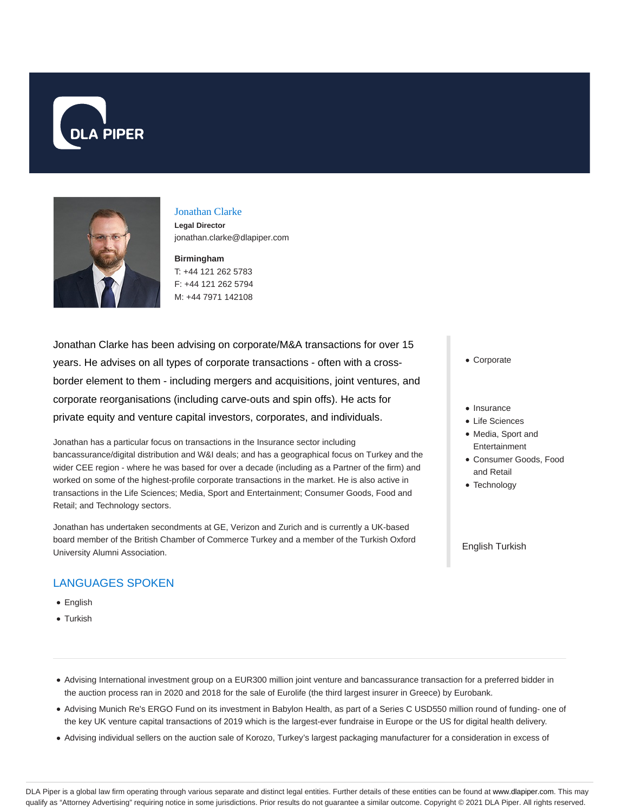



#### Jonathan Clarke

**Legal Director** jonathan.clarke@dlapiper.com

**Birmingham**

T: +44 121 262 5783 F: +44 121 262 5794 M: +44 7971 142108

Jonathan Clarke has been advising on corporate/M&A transactions for over 15 years. He advises on all types of corporate transactions - often with a crossborder element to them - including mergers and acquisitions, joint ventures, and corporate reorganisations (including carve-outs and spin offs). He acts for private equity and venture capital investors, corporates, and individuals.

Jonathan has a particular focus on transactions in the Insurance sector including bancassurance/digital distribution and W&I deals; and has a geographical focus on Turkey and the wider CEE region - where he was based for over a decade (including as a Partner of the firm) and worked on some of the highest-profile corporate transactions in the market. He is also active in transactions in the Life Sciences; Media, Sport and Entertainment; Consumer Goods, Food and Retail; and Technology sectors.

Jonathan has undertaken secondments at GE, Verizon and Zurich and is currently a UK-based board member of the British Chamber of Commerce Turkey and a member of the Turkish Oxford University Alumni Association.

## LANGUAGES SPOKEN

- English
- Turkish
- Corporate
- Insurance
- Life Sciences
- Media, Sport and Entertainment
- Consumer Goods, Food and Retail
- Technology

English Turkish

- Advising International investment group on a EUR300 million joint venture and bancassurance transaction for a preferred bidder in the auction process ran in 2020 and 2018 for the sale of Eurolife (the third largest insurer in Greece) by Eurobank.
- Advising Munich Re's ERGO Fund on its investment in Babylon Health, as part of a Series C USD550 million round of funding- one of the key UK venture capital transactions of 2019 which is the largest-ever fundraise in Europe or the US for digital health delivery.
- Advising individual sellers on the auction sale of Korozo, Turkey's largest packaging manufacturer for a consideration in excess of